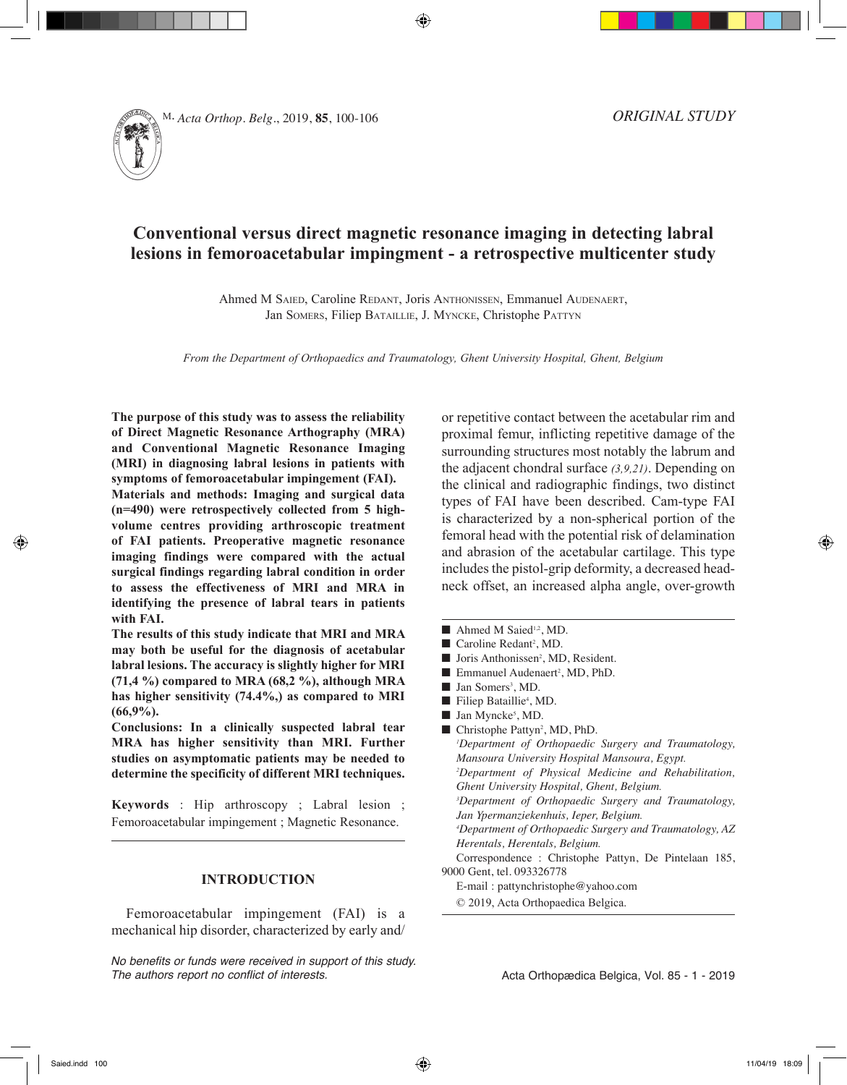

# **Conventional versus direct magnetic resonance imaging in detecting labral lesions in femoroacetabular impingment - a retrospective multicenter study**

Ahmed M Saied, Caroline Redant, Joris Anthonissen, Emmanuel Audenaert, Jan SOMERS, Filiep BATAILLIE, J. MYNCKE, Christophe PATTYN

*From the Department of Orthopaedics and Traumatology, Ghent University Hospital, Ghent, Belgium*

**The purpose of this study was to assess the reliability of Direct Magnetic Resonance Arthography (MRA) and Conventional Magnetic Resonance Imaging (MRI) in diagnosing labral lesions in patients with symptoms of femoroacetabular impingement (FAI).**

**Materials and methods: Imaging and surgical data (n=490) were retrospectively collected from 5 highvolume centres providing arthroscopic treatment of FAI patients. Preoperative magnetic resonance imaging findings were compared with the actual surgical findings regarding labral condition in order to assess the effectiveness of MRI and MRA in identifying the presence of labral tears in patients with FAI.**

**The results of this study indicate that MRI and MRA may both be useful for the diagnosis of acetabular labral lesions. The accuracy is slightly higher for MRI (71,4 %) compared to MRA (68,2 %), although MRA has higher sensitivity (74.4%,) as compared to MRI (66,9%).**

**Conclusions: In a clinically suspected labral tear MRA has higher sensitivity than MRI. Further studies on asymptomatic patients may be needed to determine the specificity of different MRI techniques.**

**Keywords** : Hip arthroscopy ; Labral lesion ; Femoroacetabular impingement ; Magnetic Resonance.

# **INTRODUCTION**

Femoroacetabular impingement (FAI) is a mechanical hip disorder, characterized by early and/

*No benefits or funds were received in support of this study. The authors report no conflict of interests.*

or repetitive contact between the acetabular rim and proximal femur, inflicting repetitive damage of the surrounding structures most notably the labrum and the adjacent chondral surface *(3,9,21)*. Depending on the clinical and radiographic findings, two distinct types of FAI have been described. Cam-type FAI is characterized by a non-spherical portion of the femoral head with the potential risk of delamination and abrasion of the acetabular cartilage. This type includes the pistol-grip deformity, a decreased headneck offset, an increased alpha angle, over-growth

- $\blacksquare$  Ahmed M Saied<sup>1,2</sup>, MD.
- Caroline Redant<sup>2</sup>, MD.
- Joris Anthonissen<sup>2</sup>, MD, Resident.
- Emmanuel Audenaert<sup>2</sup>, MD, PhD.
- Jan Somers<sup>3</sup>, MD.
- Filiep Bataillie<sup>4</sup>, MD.
- $\blacksquare$  Jan Myncke<sup>5</sup>, MD.

■ Christophe Pattyn<sup>2</sup>, MD, PhD.

*1 Department of Orthopaedic Surgery and Traumatology, Mansoura University Hospital Mansoura, Egypt. 2 Department of Physical Medicine and Rehabilitation, Ghent University Hospital, Ghent, Belgium. 3 Department of Orthopaedic Surgery and Traumatology, Jan Ypermanziekenhuis, Ieper, Belgium. 4 Department of Orthopaedic Surgery and Traumatology, AZ Herentals, Herentals, Belgium.* Correspondence : Christophe Pattyn, De Pintelaan 185, 9000 Gent, tel. 093326778 E-mail : pattynchristophe@yahoo.com © 2019, Acta Orthopaedica Belgica.

Acta Orthopædica Belgica, Vol. 85 - 1 - 2019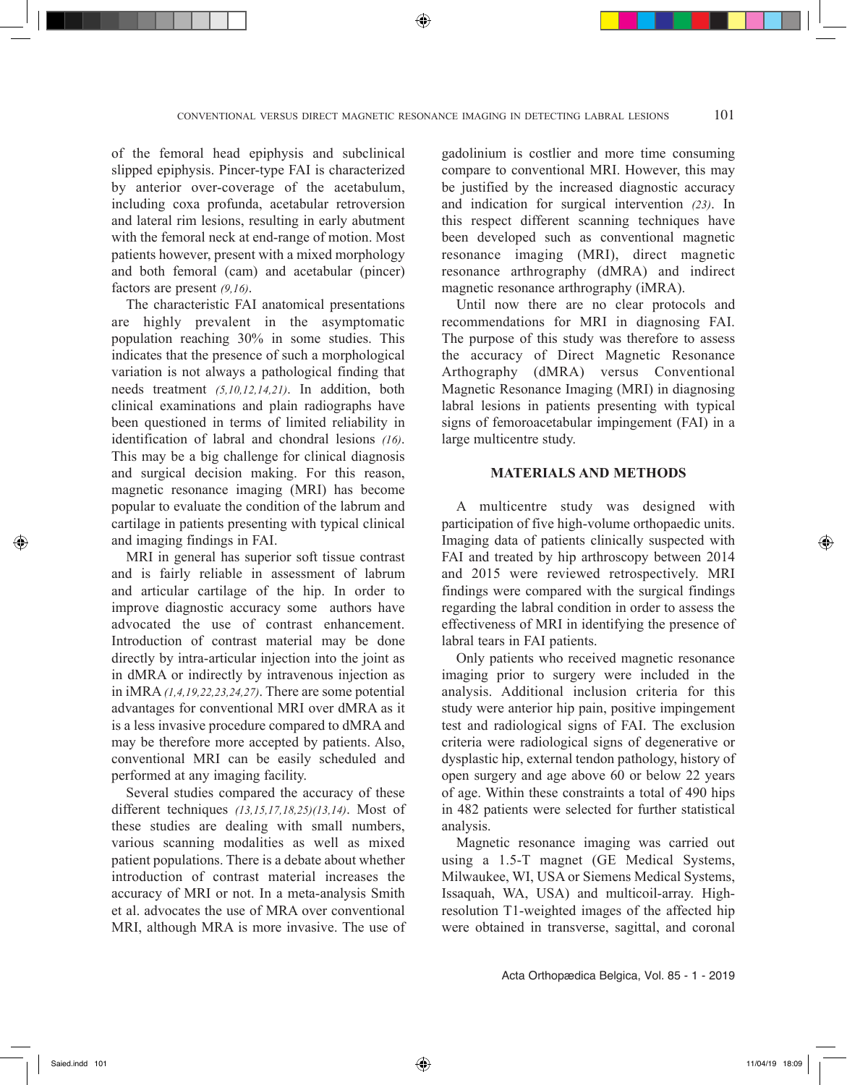of the femoral head epiphysis and subclinical slipped epiphysis. Pincer-type FAI is characterized by anterior over-coverage of the acetabulum, including coxa profunda, acetabular retroversion and lateral rim lesions, resulting in early abutment with the femoral neck at end-range of motion. Most patients however, present with a mixed morphology and both femoral (cam) and acetabular (pincer) factors are present *(9,16)*.

The characteristic FAI anatomical presentations are highly prevalent in the asymptomatic population reaching 30% in some studies. This indicates that the presence of such a morphological variation is not always a pathological finding that needs treatment *(5,10,12,14,21)*. In addition, both clinical examinations and plain radiographs have been questioned in terms of limited reliability in identification of labral and chondral lesions *(16)*. This may be a big challenge for clinical diagnosis and surgical decision making. For this reason, magnetic resonance imaging (MRI) has become popular to evaluate the condition of the labrum and cartilage in patients presenting with typical clinical and imaging findings in FAI.

MRI in general has superior soft tissue contrast and is fairly reliable in assessment of labrum and articular cartilage of the hip. In order to improve diagnostic accuracy some authors have advocated the use of contrast enhancement. Introduction of contrast material may be done directly by intra-articular injection into the joint as in dMRA or indirectly by intravenous injection as in iMRA *(1,4,19,22,23,24,27)*. There are some potential advantages for conventional MRI over dMRA as it is a less invasive procedure compared to dMRA and may be therefore more accepted by patients. Also, conventional MRI can be easily scheduled and performed at any imaging facility.

Several studies compared the accuracy of these different techniques *(13,15,17,18,25)(13,14)*. Most of these studies are dealing with small numbers, various scanning modalities as well as mixed patient populations. There is a debate about whether introduction of contrast material increases the accuracy of MRI or not. In a meta-analysis Smith et al. advocates the use of MRA over conventional MRI, although MRA is more invasive. The use of gadolinium is costlier and more time consuming compare to conventional MRI. However, this may be justified by the increased diagnostic accuracy and indication for surgical intervention *(23)*. In this respect different scanning techniques have been developed such as conventional magnetic resonance imaging (MRI), direct magnetic resonance arthrography (dMRA) and indirect magnetic resonance arthrography (iMRA).

Until now there are no clear protocols and recommendations for MRI in diagnosing FAI. The purpose of this study was therefore to assess the accuracy of Direct Magnetic Resonance Arthography (dMRA) versus Conventional Magnetic Resonance Imaging (MRI) in diagnosing labral lesions in patients presenting with typical signs of femoroacetabular impingement (FAI) in a large multicentre study.

#### **MATERIALS AND METHODS**

A multicentre study was designed with participation of five high-volume orthopaedic units. Imaging data of patients clinically suspected with FAI and treated by hip arthroscopy between 2014 and 2015 were reviewed retrospectively. MRI findings were compared with the surgical findings regarding the labral condition in order to assess the effectiveness of MRI in identifying the presence of labral tears in FAI patients.

Only patients who received magnetic resonance imaging prior to surgery were included in the analysis. Additional inclusion criteria for this study were anterior hip pain, positive impingement test and radiological signs of FAI. The exclusion criteria were radiological signs of degenerative or dysplastic hip, external tendon pathology, history of open surgery and age above 60 or below 22 years of age. Within these constraints a total of 490 hips in 482 patients were selected for further statistical analysis.

Magnetic resonance imaging was carried out using a 1.5-T magnet (GE Medical Systems, Milwaukee, WI, USA or Siemens Medical Systems, Issaquah, WA, USA) and multicoil-array. Highresolution T1-weighted images of the affected hip were obtained in transverse, sagittal, and coronal

Acta Orthopædica Belgica, Vol. 85 - 1 - 2019

Saied.indd 101 11/04/19 18:09 11/04/19 18:09 11/04/19 18:09 11/04/19 18:09 11/04/19 18:09 11/04/19 18:09 11/04/19 18:09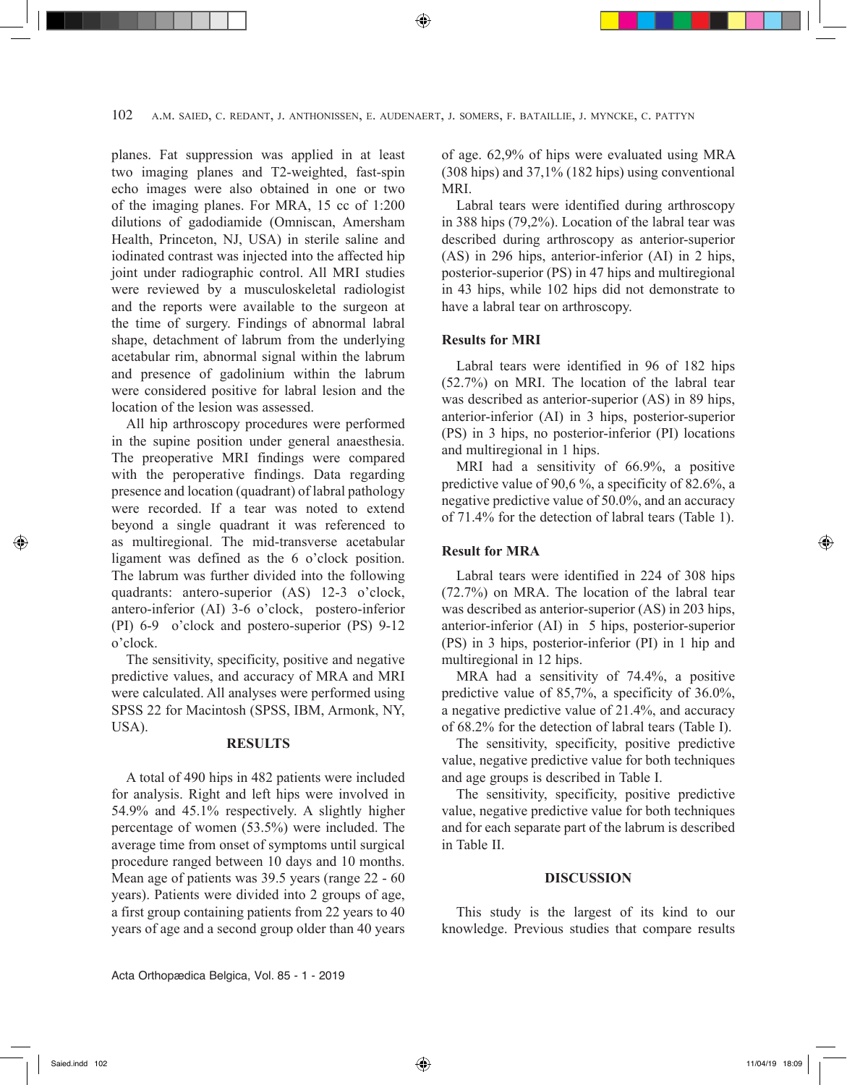planes. Fat suppression was applied in at least two imaging planes and T2-weighted, fast-spin echo images were also obtained in one or two of the imaging planes. For MRA, 15 cc of 1:200 dilutions of gadodiamide (Omniscan, Amersham Health, Princeton, NJ, USA) in sterile saline and iodinated contrast was injected into the affected hip joint under radiographic control. All MRI studies were reviewed by a musculoskeletal radiologist and the reports were available to the surgeon at the time of surgery. Findings of abnormal labral shape, detachment of labrum from the underlying acetabular rim, abnormal signal within the labrum and presence of gadolinium within the labrum were considered positive for labral lesion and the location of the lesion was assessed.

All hip arthroscopy procedures were performed in the supine position under general anaesthesia. The preoperative MRI findings were compared with the peroperative findings. Data regarding presence and location (quadrant) of labral pathology were recorded. If a tear was noted to extend beyond a single quadrant it was referenced to as multiregional. The mid-transverse acetabular ligament was defined as the 6 o'clock position. The labrum was further divided into the following quadrants: antero-superior (AS) 12-3 o'clock, antero-inferior (AI) 3-6 o'clock, postero-inferior (PI) 6-9 o'clock and postero-superior (PS) 9-12 o'clock.

The sensitivity, specificity, positive and negative predictive values, and accuracy of MRA and MRI were calculated. All analyses were performed using SPSS 22 for Macintosh (SPSS, IBM, Armonk, NY, USA).

### **RESULTS**

A total of 490 hips in 482 patients were included for analysis. Right and left hips were involved in 54.9% and 45.1% respectively. A slightly higher percentage of women (53.5%) were included. The average time from onset of symptoms until surgical procedure ranged between 10 days and 10 months. Mean age of patients was 39.5 years (range 22 - 60 years). Patients were divided into 2 groups of age, a first group containing patients from 22 years to 40 years of age and a second group older than 40 years of age. 62,9% of hips were evaluated using MRA (308 hips) and 37,1% (182 hips) using conventional **MRI** 

Labral tears were identified during arthroscopy in 388 hips (79,2%). Location of the labral tear was described during arthroscopy as anterior-superior (AS) in 296 hips, anterior-inferior (AI) in 2 hips, posterior-superior (PS) in 47 hips and multiregional in 43 hips, while 102 hips did not demonstrate to have a labral tear on arthroscopy.

## **Results for MRI**

Labral tears were identified in 96 of 182 hips (52.7%) on MRI. The location of the labral tear was described as anterior-superior (AS) in 89 hips, anterior-inferior (AI) in 3 hips, posterior-superior (PS) in 3 hips, no posterior-inferior (PI) locations and multiregional in 1 hips.

MRI had a sensitivity of 66.9%, a positive predictive value of 90,6 %, a specificity of 82.6%, a negative predictive value of 50.0%, and an accuracy of 71.4% for the detection of labral tears (Table 1).

#### **Result for MRA**

Labral tears were identified in 224 of 308 hips (72.7%) on MRA. The location of the labral tear was described as anterior-superior (AS) in 203 hips, anterior-inferior (AI) in 5 hips, posterior-superior (PS) in 3 hips, posterior-inferior (PI) in 1 hip and multiregional in 12 hips.

MRA had a sensitivity of 74.4%, a positive predictive value of 85,7%, a specificity of 36.0%, a negative predictive value of 21.4%, and accuracy of 68.2% for the detection of labral tears (Table I).

The sensitivity, specificity, positive predictive value, negative predictive value for both techniques and age groups is described in Table I.

The sensitivity, specificity, positive predictive value, negative predictive value for both techniques and for each separate part of the labrum is described in Table II.

#### **DISCUSSION**

This study is the largest of its kind to our knowledge. Previous studies that compare results

◈

⊕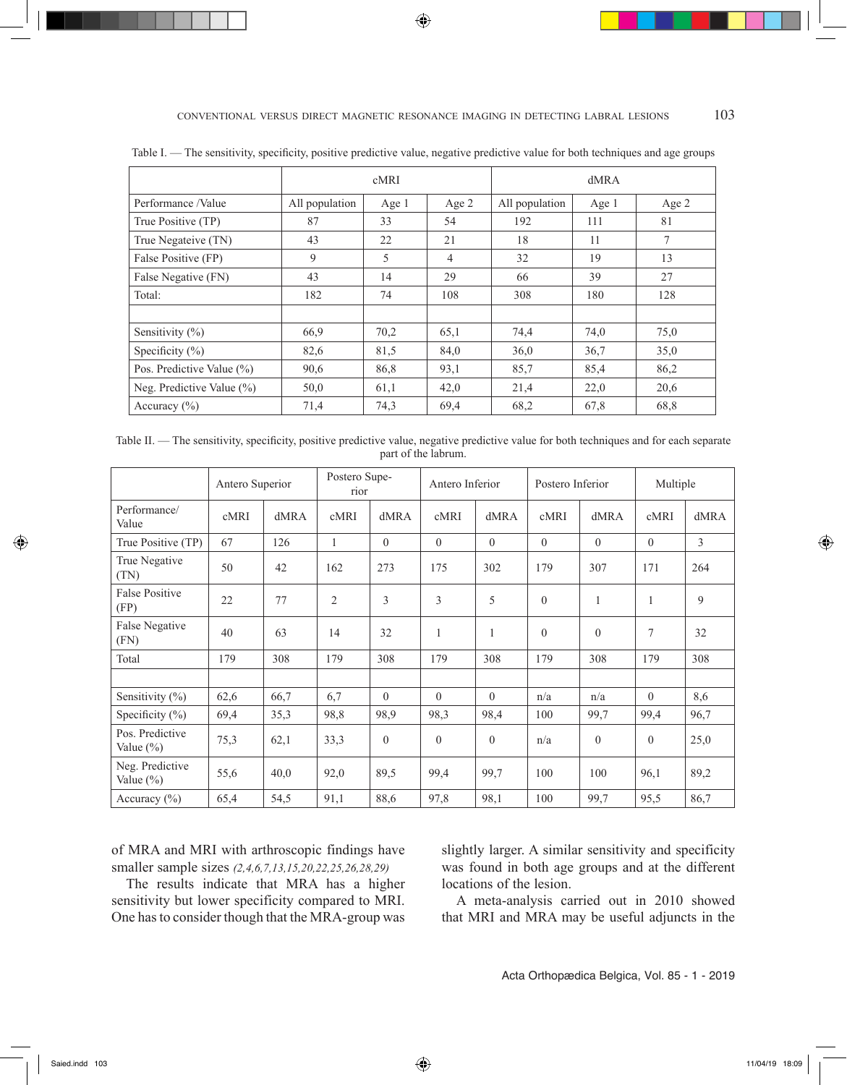conventional versus direct magnetic resonance imaging in detecting labral lesions 103

⊕

|                               |                | cMRI  |          | dMRA           |       |       |  |
|-------------------------------|----------------|-------|----------|----------------|-------|-------|--|
| Performance /Value            | All population | Age 1 | Age 2    | All population | Age 1 | Age 2 |  |
| True Positive (TP)            | 87             | 33    | 54       | 192            | 111   | 81    |  |
| True Negateive (TN)           | 43             | 22    | 21<br>18 |                | 11    | 7     |  |
| False Positive (FP)           | 9              | 5     | 4        | 32             | 19    | 13    |  |
| False Negative (FN)           | 43             | 14    | 29       | 66             | 39    | 27    |  |
| Total:                        | 182            | 74    | 108      | 308            | 180   | 128   |  |
|                               |                |       |          |                |       |       |  |
| Sensitivity (%)               | 66,9           | 70,2  | 65,1     | 74,4           | 74,0  | 75,0  |  |
| Specificity $(\% )$           | 82,6           | 81,5  | 84,0     | 36,0           | 36,7  | 35,0  |  |
| Pos. Predictive Value (%)     | 90,6           | 86,8  | 93,1     | 85,7           | 85,4  | 86,2  |  |
| Neg. Predictive Value $(\% )$ | 50,0           | 61,1  | 42,0     | 21,4           | 22,0  | 20,6  |  |
| Accuracy $(\% )$              | 71,4           | 74,3  | 69,4     | 68,2           | 67,8  | 68.8  |  |

Table I. — The sensitivity, specificity, positive predictive value, negative predictive value for both techniques and age groups

Table II. — The sensitivity, specificity, positive predictive value, negative predictive value for both techniques and for each separate part of the labrum.

|                                  | Antero Superior |      | Postero Supe-<br>rior |                | Antero Inferior |          | Postero Inferior |                | Multiple     |                |
|----------------------------------|-----------------|------|-----------------------|----------------|-----------------|----------|------------------|----------------|--------------|----------------|
| Performance/<br>Value            | cMRI            | dMRA | cMRI                  | dMRA           | cMRI            | dMRA     | cMRI             | dMRA           | cMRI         | dMRA           |
| True Positive (TP)               | 67              | 126  | 1                     | $\theta$       | $\theta$        | $\theta$ | $\theta$         | $\overline{0}$ | $\theta$     | $\mathfrak{Z}$ |
| True Negative<br>(TN)            | 50              | 42   | 162                   | 273            | 175             | 302      | 179              | 307            | 171          | 264            |
| <b>False Positive</b><br>(FP)    | 22              | 77   | $\overline{2}$        | $\mathfrak{Z}$ | 3               | 5        | $\overline{0}$   | $\mathbf{1}$   | $\mathbf{1}$ | 9              |
| False Negative<br>(FN)           | 40              | 63   | 14                    | 32             | $\mathbf{1}$    | 1        | $\mathbf{0}$     | $\theta$       | 7            | 32             |
| Total                            | 179             | 308  | 179                   | 308            | 179             | 308      | 179              | 308            | 179          | 308            |
|                                  |                 |      |                       |                |                 |          |                  |                |              |                |
| Sensitivity $(\%)$               | 62,6            | 66,7 | 6,7                   | $\theta$       | $\Omega$        | $\theta$ | n/a              | n/a            | $\theta$     | 8,6            |
| Specificity $(\%)$               | 69,4            | 35,3 | 98,8                  | 98,9           | 98,3            | 98,4     | 100              | 99,7           | 99,4         | 96,7           |
| Pos. Predictive<br>Value $(\% )$ | 75,3            | 62,1 | 33,3                  | $\overline{0}$ | $\theta$        | $\theta$ | n/a              | $\theta$       | $\mathbf{0}$ | 25,0           |
| Neg. Predictive<br>Value $(\%)$  | 55,6            | 40,0 | 92,0                  | 89,5           | 99,4            | 99,7     | 100              | 100            | 96,1         | 89,2           |
| Accuracy $(\% )$                 | 65,4            | 54,5 | 91,1                  | 88,6           | 97,8            | 98,1     | 100              | 99,7           | 95,5         | 86,7           |

of MRA and MRI with arthroscopic findings have smaller sample sizes *(2,4,6,7,13,15,20,22,25,26,28,29)*

The results indicate that MRA has a higher sensitivity but lower specificity compared to MRI. One has to consider though that the MRA-group was slightly larger. A similar sensitivity and specificity was found in both age groups and at the different locations of the lesion.

A meta-analysis carried out in 2010 showed that MRI and MRA may be useful adjuncts in the

Acta Orthopædica Belgica, Vol. 85 - 1 - 2019

◈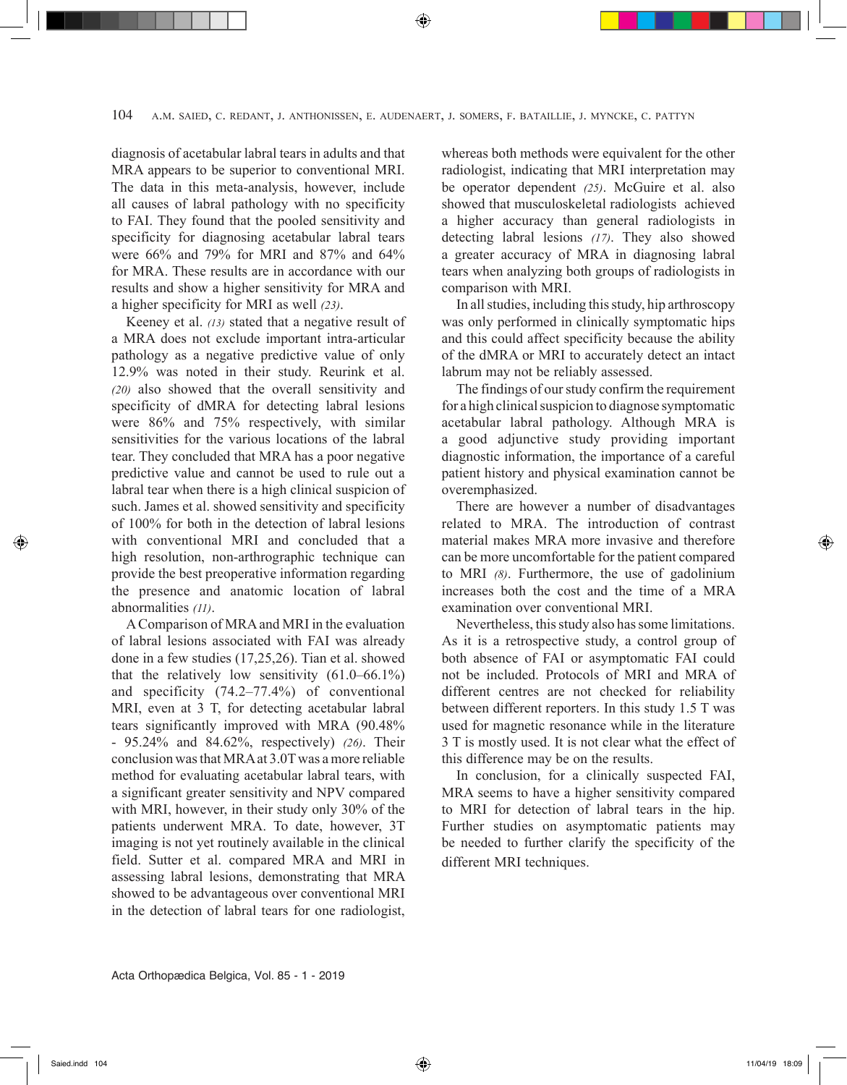diagnosis of acetabular labral tears in adults and that MRA appears to be superior to conventional MRI. The data in this meta-analysis, however, include all causes of labral pathology with no specificity to FAI. They found that the pooled sensitivity and specificity for diagnosing acetabular labral tears were 66% and 79% for MRI and 87% and 64% for MRA. These results are in accordance with our results and show a higher sensitivity for MRA and a higher specificity for MRI as well *(23)*.

Keeney et al. *(13)* stated that a negative result of a MRA does not exclude important intra-articular pathology as a negative predictive value of only 12.9% was noted in their study. Reurink et al. *(20)* also showed that the overall sensitivity and specificity of dMRA for detecting labral lesions were 86% and 75% respectively, with similar sensitivities for the various locations of the labral tear. They concluded that MRA has a poor negative predictive value and cannot be used to rule out a labral tear when there is a high clinical suspicion of such. James et al. showed sensitivity and specificity of 100% for both in the detection of labral lesions with conventional MRI and concluded that a high resolution, non-arthrographic technique can provide the best preoperative information regarding the presence and anatomic location of labral abnormalities *(11)*.

A Comparison of MRA and MRI in the evaluation of labral lesions associated with FAI was already done in a few studies (17,25,26). Tian et al. showed that the relatively low sensitivity (61.0–66.1%) and specificity (74.2–77.4%) of conventional MRI, even at 3 T, for detecting acetabular labral tears significantly improved with MRA (90.48% - 95.24% and 84.62%, respectively) *(26)*. Their conclusion was that MRA at 3.0T was a more reliable method for evaluating acetabular labral tears, with a significant greater sensitivity and NPV compared with MRI, however, in their study only 30% of the patients underwent MRA. To date, however, 3T imaging is not yet routinely available in the clinical field. Sutter et al. compared MRA and MRI in assessing labral lesions, demonstrating that MRA showed to be advantageous over conventional MRI in the detection of labral tears for one radiologist, whereas both methods were equivalent for the other radiologist, indicating that MRI interpretation may be operator dependent *(25)*. McGuire et al. also showed that musculoskeletal radiologists achieved a higher accuracy than general radiologists in detecting labral lesions *(17)*. They also showed a greater accuracy of MRA in diagnosing labral tears when analyzing both groups of radiologists in comparison with MRI.

In all studies, including this study, hip arthroscopy was only performed in clinically symptomatic hips and this could affect specificity because the ability of the dMRA or MRI to accurately detect an intact labrum may not be reliably assessed.

The findings of our study confirm the requirement for a high clinical suspicion to diagnose symptomatic acetabular labral pathology. Although MRA is a good adjunctive study providing important diagnostic information, the importance of a careful patient history and physical examination cannot be overemphasized.

There are however a number of disadvantages related to MRA. The introduction of contrast material makes MRA more invasive and therefore can be more uncomfortable for the patient compared to MRI *(8)*. Furthermore, the use of gadolinium increases both the cost and the time of a MRA examination over conventional MRI.

Nevertheless, this study also has some limitations. As it is a retrospective study, a control group of both absence of FAI or asymptomatic FAI could not be included. Protocols of MRI and MRA of different centres are not checked for reliability between different reporters. In this study 1.5 T was used for magnetic resonance while in the literature 3 T is mostly used. It is not clear what the effect of this difference may be on the results.

In conclusion, for a clinically suspected FAI, MRA seems to have a higher sensitivity compared to MRI for detection of labral tears in the hip. Further studies on asymptomatic patients may be needed to further clarify the specificity of the different MRI techniques.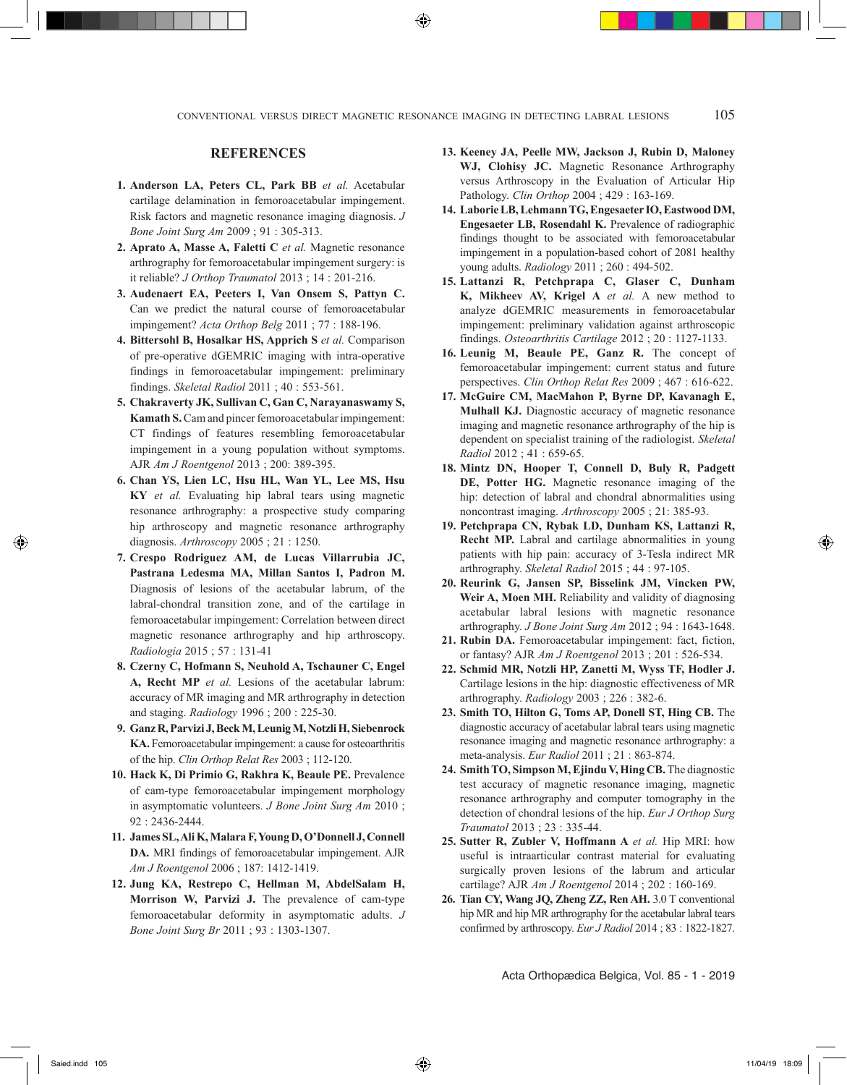# **REFERENCES**

- **1. Anderson LA, Peters CL, Park BB** *et al.* Acetabular cartilage delamination in femoroacetabular impingement. Risk factors and magnetic resonance imaging diagnosis. *J Bone Joint Surg Am* 2009 ; 91 : 305-313.
- **2. Aprato A, Masse A, Faletti C** *et al.* Magnetic resonance arthrography for femoroacetabular impingement surgery: is it reliable? *J Orthop Traumatol* 2013 ; 14 : 201-216.
- **3. Audenaert EA, Peeters I, Van Onsem S, Pattyn C.** Can we predict the natural course of femoroacetabular impingement? *Acta Orthop Belg* 2011 ; 77 : 188-196.
- **4. Bittersohl B, Hosalkar HS, Apprich S** *et al.* Comparison of pre-operative dGEMRIC imaging with intra-operative findings in femoroacetabular impingement: preliminary findings. *Skeletal Radiol* 2011 ; 40 : 553-561.
- **5. Chakraverty JK, Sullivan C, Gan C, Narayanaswamy S, Kamath S.** Cam and pincer femoroacetabular impingement: CT findings of features resembling femoroacetabular impingement in a young population without symptoms. AJR *Am J Roentgenol* 2013 ; 200: 389-395.
- **6. Chan YS, Lien LC, Hsu HL, Wan YL, Lee MS, Hsu KY** *et al.* Evaluating hip labral tears using magnetic resonance arthrography: a prospective study comparing hip arthroscopy and magnetic resonance arthrography diagnosis. *Arthroscopy* 2005 ; 21 : 1250.
- **7. Crespo Rodriguez AM, de Lucas Villarrubia JC, Pastrana Ledesma MA, Millan Santos I, Padron M.** Diagnosis of lesions of the acetabular labrum, of the labral-chondral transition zone, and of the cartilage in femoroacetabular impingement: Correlation between direct magnetic resonance arthrography and hip arthroscopy. *Radiologia* 2015 ; 57 : 131-41
- **8. Czerny C, Hofmann S, Neuhold A, Tschauner C, Engel A, Recht MP** *et al.* Lesions of the acetabular labrum: accuracy of MR imaging and MR arthrography in detection and staging. *Radiology* 1996 ; 200 : 225-30.
- **9. Ganz R, Parvizi J, Beck M, Leunig M, Notzli H, Siebenrock KA.** Femoroacetabular impingement: a cause for osteoarthritis of the hip. *Clin Orthop Relat Res* 2003 ; 112-120.
- **10. Hack K, Di Primio G, Rakhra K, Beaule PE.** Prevalence of cam-type femoroacetabular impingement morphology in asymptomatic volunteers. *J Bone Joint Surg Am* 2010 ; 92 : 2436-2444.
- **11. James SL, Ali K, Malara F, Young D, O'Donnell J, Connell DA.** MRI findings of femoroacetabular impingement. AJR *Am J Roentgenol* 2006 ; 187: 1412-1419.
- **12. Jung KA, Restrepo C, Hellman M, AbdelSalam H, Morrison W, Parvizi J.** The prevalence of cam-type femoroacetabular deformity in asymptomatic adults. *J Bone Joint Surg Br* 2011 ; 93 : 1303-1307.
- **13. Keeney JA, Peelle MW, Jackson J, Rubin D, Maloney WJ, Clohisy JC.** Magnetic Resonance Arthrography versus Arthroscopy in the Evaluation of Articular Hip Pathology. *Clin Orthop* 2004 ; 429 : 163-169.
- **14. Laborie LB, Lehmann TG, Engesaeter IO, Eastwood DM, Engesaeter LB, Rosendahl K.** Prevalence of radiographic findings thought to be associated with femoroacetabular impingement in a population-based cohort of 2081 healthy young adults. *Radiology* 2011 ; 260 : 494-502.
- **15. Lattanzi R, Petchprapa C, Glaser C, Dunham K, Mikheev AV, Krigel A** *et al.* A new method to analyze dGEMRIC measurements in femoroacetabular impingement: preliminary validation against arthroscopic findings. *Osteoarthritis Cartilage* 2012 ; 20 : 1127-1133.
- **16. Leunig M, Beaule PE, Ganz R.** The concept of femoroacetabular impingement: current status and future perspectives. *Clin Orthop Relat Res* 2009 ; 467 : 616-622.
- **17. McGuire CM, MacMahon P, Byrne DP, Kavanagh E, Mulhall KJ.** Diagnostic accuracy of magnetic resonance imaging and magnetic resonance arthrography of the hip is dependent on specialist training of the radiologist. *Skeletal Radiol* 2012 ; 41 : 659-65.
- **18. Mintz DN, Hooper T, Connell D, Buly R, Padgett DE, Potter HG.** Magnetic resonance imaging of the hip: detection of labral and chondral abnormalities using noncontrast imaging. *Arthroscopy* 2005 ; 21: 385-93.
- **19. Petchprapa CN, Rybak LD, Dunham KS, Lattanzi R, Recht MP.** Labral and cartilage abnormalities in young patients with hip pain: accuracy of 3-Tesla indirect MR arthrography. *Skeletal Radiol* 2015 ; 44 : 97-105.
- **20. Reurink G, Jansen SP, Bisselink JM, Vincken PW, Weir A, Moen MH.** Reliability and validity of diagnosing acetabular labral lesions with magnetic resonance arthrography. *J Bone Joint Surg Am* 2012 ; 94 : 1643-1648.
- **21. Rubin DA.** Femoroacetabular impingement: fact, fiction, or fantasy? AJR *Am J Roentgenol* 2013 ; 201 : 526-534.
- **22. Schmid MR, Notzli HP, Zanetti M, Wyss TF, Hodler J.** Cartilage lesions in the hip: diagnostic effectiveness of MR arthrography. *Radiology* 2003 ; 226 : 382-6.
- **23. Smith TO, Hilton G, Toms AP, Donell ST, Hing CB.** The diagnostic accuracy of acetabular labral tears using magnetic resonance imaging and magnetic resonance arthrography: a meta-analysis. *Eur Radiol* 2011 ; 21 : 863-874.
- **24. Smith TO, Simpson M, Ejindu V, Hing CB.** The diagnostic test accuracy of magnetic resonance imaging, magnetic resonance arthrography and computer tomography in the detection of chondral lesions of the hip. *Eur J Orthop Surg Traumatol* 2013 ; 23 : 335-44.
- **25. Sutter R, Zubler V, Hoffmann A** *et al.* Hip MRI: how useful is intraarticular contrast material for evaluating surgically proven lesions of the labrum and articular cartilage? AJR *Am J Roentgenol* 2014 ; 202 : 160-169.
- **26. Tian CY, Wang JQ, Zheng ZZ, Ren AH.** 3.0 T conventional hip MR and hip MR arthrography for the acetabular labral tears confirmed by arthroscopy. *Eur J Radiol* 2014 ; 83 : 1822-1827.

Acta Orthopædica Belgica, Vol. 85 - 1 - 2019

Saied.indd 105 11/04/19 18:09

⊕